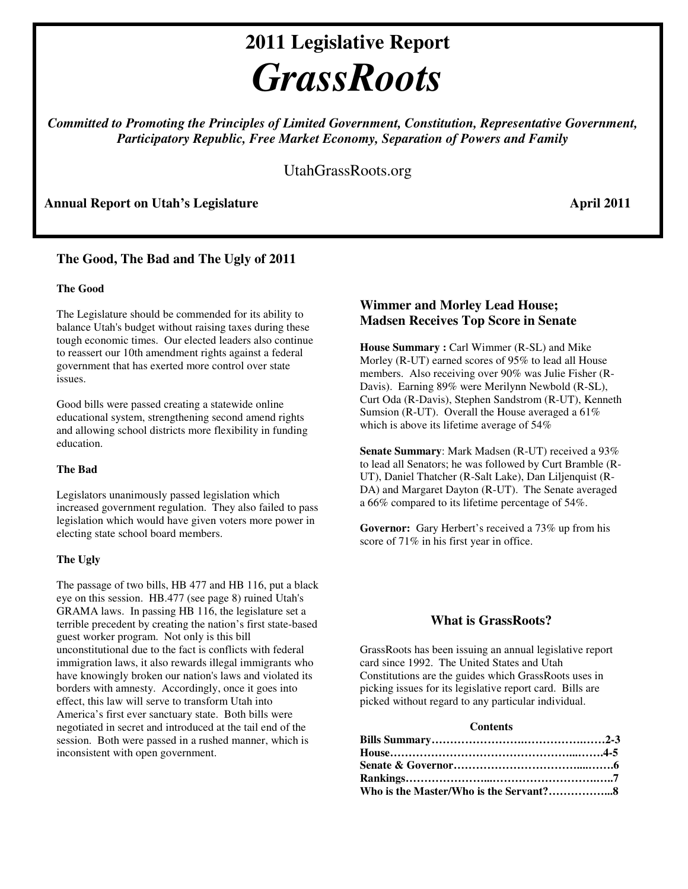# **2011 Legislative Report**  *GrassRoots*

*Committed to Promoting the Principles of Limited Government, Constitution, Representative Government, Participatory Republic, Free Market Economy, Separation of Powers and Family* 

UtahGrassRoots.org

Annual Report on Utah's Legislature **April 2011 April 2011** 

## **The Good, The Bad and The Ugly of 2011**

#### **The Good**

The Legislature should be commended for its ability to balance Utah's budget without raising taxes during these tough economic times. Our elected leaders also continue to reassert our 10th amendment rights against a federal government that has exerted more control over state issues.

Good bills were passed creating a statewide online educational system, strengthening second amend rights and allowing school districts more flexibility in funding education.

#### **The Bad**

Legislators unanimously passed legislation which increased government regulation. They also failed to pass legislation which would have given voters more power in electing state school board members.

#### **The Ugly**

The passage of two bills, HB 477 and HB 116, put a black eye on this session. HB.477 (see page 8) ruined Utah's GRAMA laws. In passing HB 116, the legislature set a terrible precedent by creating the nation's first state-based guest worker program. Not only is this bill unconstitutional due to the fact is conflicts with federal immigration laws, it also rewards illegal immigrants who have knowingly broken our nation's laws and violated its borders with amnesty. Accordingly, once it goes into effect, this law will serve to transform Utah into America's first ever sanctuary state. Both bills were negotiated in secret and introduced at the tail end of the session. Both were passed in a rushed manner, which is inconsistent with open government.

## **Wimmer and Morley Lead House; Madsen Receives Top Score in Senate**

**House Summary :** Carl Wimmer (R-SL) and Mike Morley (R-UT) earned scores of 95% to lead all House members. Also receiving over 90% was Julie Fisher (R-Davis). Earning 89% were Merilynn Newbold (R-SL), Curt Oda (R-Davis), Stephen Sandstrom (R-UT), Kenneth Sumsion (R-UT). Overall the House averaged a 61% which is above its lifetime average of 54%

**Senate Summary**: Mark Madsen (R-UT) received a 93% to lead all Senators; he was followed by Curt Bramble (R-UT), Daniel Thatcher (R-Salt Lake), Dan Liljenquist (R-DA) and Margaret Dayton (R-UT). The Senate averaged a 66% compared to its lifetime percentage of 54%.

**Governor:** Gary Herbert's received a 73% up from his score of 71% in his first year in office.

## **What is GrassRoots?**

GrassRoots has been issuing an annual legislative report card since 1992. The United States and Utah Constitutions are the guides which GrassRoots uses in picking issues for its legislative report card. Bills are picked without regard to any particular individual.

#### **Contents**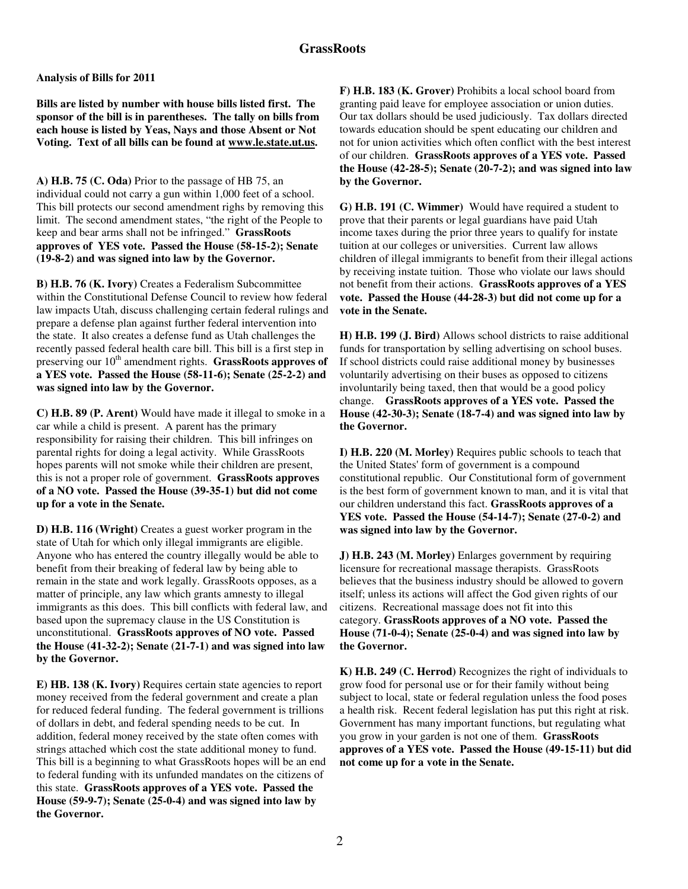**Analysis of Bills for 2011** 

**Bills are listed by number with house bills listed first. The sponsor of the bill is in parentheses. The tally on bills from each house is listed by Yeas, Nays and those Absent or Not Voting. Text of all bills can be found at www.le.state.ut.us.** 

**A) H.B. 75 (C. Oda)** Prior to the passage of HB 75, an individual could not carry a gun within 1,000 feet of a school. This bill protects our second amendment righs by removing this limit. The second amendment states, "the right of the People to keep and bear arms shall not be infringed." **GrassRoots approves of YES vote. Passed the House (58-15-2); Senate (19-8-2) and was signed into law by the Governor.** 

**B) H.B. 76 (K. Ivory)** Creates a Federalism Subcommittee within the Constitutional Defense Council to review how federal law impacts Utah, discuss challenging certain federal rulings and prepare a defense plan against further federal intervention into the state. It also creates a defense fund as Utah challenges the recently passed federal health care bill. This bill is a first step in preserving our 10<sup>th</sup> amendment rights. **GrassRoots approves of a YES vote. Passed the House (58-11-6); Senate (25-2-2) and was signed into law by the Governor.** 

**C) H.B. 89 (P. Arent)** Would have made it illegal to smoke in a car while a child is present. A parent has the primary responsibility for raising their children. This bill infringes on parental rights for doing a legal activity. While GrassRoots hopes parents will not smoke while their children are present, this is not a proper role of government. **GrassRoots approves of a NO vote. Passed the House (39-35-1) but did not come up for a vote in the Senate.** 

**D) H.B. 116 (Wright)** Creates a guest worker program in the state of Utah for which only illegal immigrants are eligible. Anyone who has entered the country illegally would be able to benefit from their breaking of federal law by being able to remain in the state and work legally. GrassRoots opposes, as a matter of principle, any law which grants amnesty to illegal immigrants as this does. This bill conflicts with federal law, and based upon the supremacy clause in the US Constitution is unconstitutional. **GrassRoots approves of NO vote. Passed the House (41-32-2); Senate (21-7-1) and was signed into law by the Governor.** 

**E) HB. 138 (K. Ivory)** Requires certain state agencies to report money received from the federal government and create a plan for reduced federal funding. The federal government is trillions of dollars in debt, and federal spending needs to be cut. In addition, federal money received by the state often comes with strings attached which cost the state additional money to fund. This bill is a beginning to what GrassRoots hopes will be an end to federal funding with its unfunded mandates on the citizens of this state. **GrassRoots approves of a YES vote. Passed the House (59-9-7); Senate (25-0-4) and was signed into law by the Governor.** 

**F) H.B. 183 (K. Grover)** Prohibits a local school board from granting paid leave for employee association or union duties. Our tax dollars should be used judiciously. Tax dollars directed towards education should be spent educating our children and not for union activities which often conflict with the best interest of our children. **GrassRoots approves of a YES vote. Passed the House (42-28-5); Senate (20-7-2); and was signed into law by the Governor.** 

**G) H.B. 191 (C. Wimmer)** Would have required a student to prove that their parents or legal guardians have paid Utah income taxes during the prior three years to qualify for instate tuition at our colleges or universities. Current law allows children of illegal immigrants to benefit from their illegal actions by receiving instate tuition. Those who violate our laws should not benefit from their actions. **GrassRoots approves of a YES vote. Passed the House (44-28-3) but did not come up for a vote in the Senate.** 

**H) H.B. 199 (J. Bird)** Allows school districts to raise additional funds for transportation by selling advertising on school buses. If school districts could raise additional money by businesses voluntarily advertising on their buses as opposed to citizens involuntarily being taxed, then that would be a good policy change. **GrassRoots approves of a YES vote. Passed the House (42-30-3); Senate (18-7-4) and was signed into law by the Governor.** 

**I) H.B. 220 (M. Morley)** Requires public schools to teach that the United States' form of government is a compound constitutional republic. Our Constitutional form of government is the best form of government known to man, and it is vital that our children understand this fact. **GrassRoots approves of a YES vote. Passed the House (54-14-7); Senate (27-0-2) and was signed into law by the Governor.** 

**J) H.B. 243 (M. Morley)** Enlarges government by requiring licensure for recreational massage therapists. GrassRoots believes that the business industry should be allowed to govern itself; unless its actions will affect the God given rights of our citizens. Recreational massage does not fit into this category. **GrassRoots approves of a NO vote. Passed the House (71-0-4); Senate (25-0-4) and was signed into law by the Governor.** 

**K) H.B. 249 (C. Herrod)** Recognizes the right of individuals to grow food for personal use or for their family without being subject to local, state or federal regulation unless the food poses a health risk. Recent federal legislation has put this right at risk. Government has many important functions, but regulating what you grow in your garden is not one of them. **GrassRoots approves of a YES vote. Passed the House (49-15-11) but did not come up for a vote in the Senate.**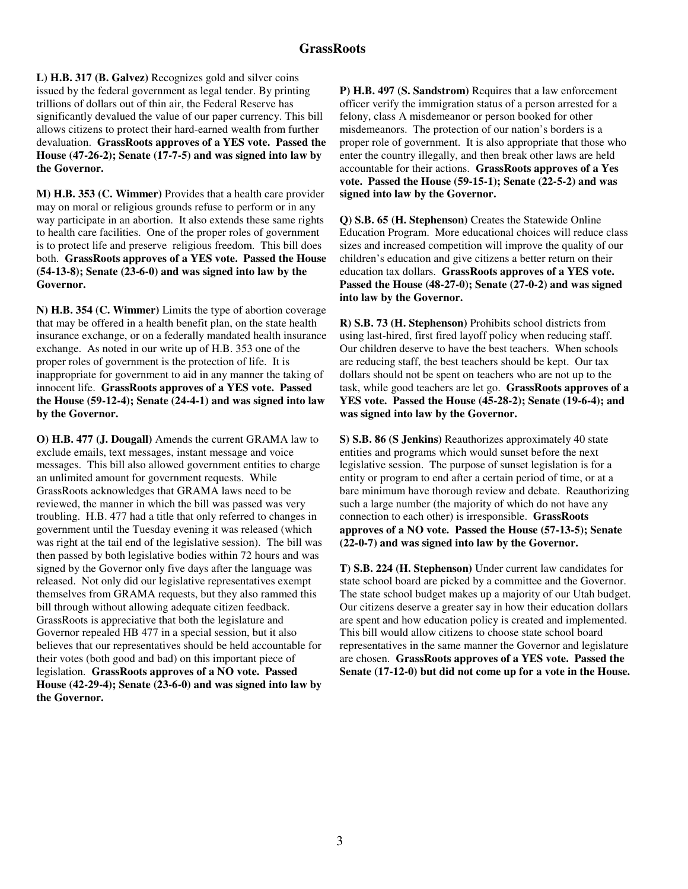**L) H.B. 317 (B. Galvez)** Recognizes gold and silver coins issued by the federal government as legal tender. By printing trillions of dollars out of thin air, the Federal Reserve has significantly devalued the value of our paper currency. This bill allows citizens to protect their hard-earned wealth from further devaluation. **GrassRoots approves of a YES vote. Passed the House (47-26-2); Senate (17-7-5) and was signed into law by the Governor.** 

**M) H.B. 353 (C. Wimmer)** Provides that a health care provider may on moral or religious grounds refuse to perform or in any way participate in an abortion. It also extends these same rights to health care facilities. One of the proper roles of government is to protect life and preserve religious freedom. This bill does both. **GrassRoots approves of a YES vote. Passed the House (54-13-8); Senate (23-6-0) and was signed into law by the Governor.** 

**N) H.B. 354 (C. Wimmer)** Limits the type of abortion coverage that may be offered in a health benefit plan, on the state health insurance exchange, or on a federally mandated health insurance exchange. As noted in our write up of H.B. 353 one of the proper roles of government is the protection of life. It is inappropriate for government to aid in any manner the taking of innocent life. **GrassRoots approves of a YES vote. Passed the House (59-12-4); Senate (24-4-1) and was signed into law by the Governor.** 

**O) H.B. 477 (J. Dougall)** Amends the current GRAMA law to exclude emails, text messages, instant message and voice messages. This bill also allowed government entities to charge an unlimited amount for government requests. While GrassRoots acknowledges that GRAMA laws need to be reviewed, the manner in which the bill was passed was very troubling. H.B. 477 had a title that only referred to changes in government until the Tuesday evening it was released (which was right at the tail end of the legislative session). The bill was then passed by both legislative bodies within 72 hours and was signed by the Governor only five days after the language was released. Not only did our legislative representatives exempt themselves from GRAMA requests, but they also rammed this bill through without allowing adequate citizen feedback. GrassRoots is appreciative that both the legislature and Governor repealed HB 477 in a special session, but it also believes that our representatives should be held accountable for their votes (both good and bad) on this important piece of legislation. **GrassRoots approves of a NO vote. Passed House (42-29-4); Senate (23-6-0) and was signed into law by the Governor.** 

**P) H.B. 497 (S. Sandstrom)** Requires that a law enforcement officer verify the immigration status of a person arrested for a felony, class A misdemeanor or person booked for other misdemeanors. The protection of our nation's borders is a proper role of government. It is also appropriate that those who enter the country illegally, and then break other laws are held accountable for their actions. **GrassRoots approves of a Yes vote. Passed the House (59-15-1); Senate (22-5-2) and was signed into law by the Governor.** 

**Q) S.B. 65 (H. Stephenson)** Creates the Statewide Online Education Program. More educational choices will reduce class sizes and increased competition will improve the quality of our children's education and give citizens a better return on their education tax dollars. **GrassRoots approves of a YES vote. Passed the House (48-27-0); Senate (27-0-2) and was signed into law by the Governor.** 

**R) S.B. 73 (H. Stephenson)** Prohibits school districts from using last-hired, first fired layoff policy when reducing staff. Our children deserve to have the best teachers. When schools are reducing staff, the best teachers should be kept. Our tax dollars should not be spent on teachers who are not up to the task, while good teachers are let go. **GrassRoots approves of a YES vote. Passed the House (45-28-2); Senate (19-6-4); and was signed into law by the Governor.** 

**S) S.B. 86 (S Jenkins)** Reauthorizes approximately 40 state entities and programs which would sunset before the next legislative session. The purpose of sunset legislation is for a entity or program to end after a certain period of time, or at a bare minimum have thorough review and debate. Reauthorizing such a large number (the majority of which do not have any connection to each other) is irresponsible. **GrassRoots approves of a NO vote. Passed the House (57-13-5); Senate (22-0-7) and was signed into law by the Governor.** 

**T) S.B. 224 (H. Stephenson)** Under current law candidates for state school board are picked by a committee and the Governor. The state school budget makes up a majority of our Utah budget. Our citizens deserve a greater say in how their education dollars are spent and how education policy is created and implemented. This bill would allow citizens to choose state school board representatives in the same manner the Governor and legislature are chosen. **GrassRoots approves of a YES vote. Passed the Senate (17-12-0) but did not come up for a vote in the House.**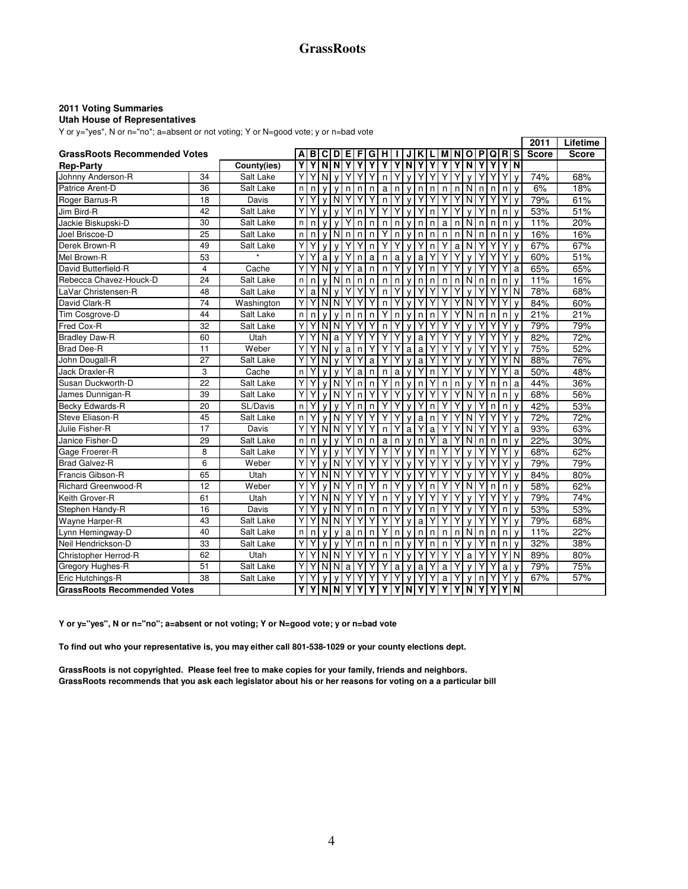## **GrassRoots**

#### **2011 Voting Summaries**

#### **Utah House of Representatives**

Y or y="yes", N or n="no"; a=absent or not voting; Y or N=good vote; y or n=bad vote

|                                     |    |             |    |   |                         |                |            |    |   |   |   |              |   |   |              |   |                         |    |   |             |                         | 2011         | Lifetime     |
|-------------------------------------|----|-------------|----|---|-------------------------|----------------|------------|----|---|---|---|--------------|---|---|--------------|---|-------------------------|----|---|-------------|-------------------------|--------------|--------------|
| <b>GrassRoots Recommended Votes</b> |    |             | Α  | в | С                       | D              | Е          | F  | G | н |   |              |   |   | м            |   | O                       | ΙP | Q | $\mathbf R$ | <b>S</b>                | <b>Score</b> | <b>Score</b> |
| <b>Rep-Party</b>                    |    | County(ies) | Υ  | γ | $\overline{\mathsf{N}}$ | $\overline{N}$ | Ÿ          | Υ  | γ | Υ | γ | Ñ            | γ |   | γ            | Υ | $\overline{\mathsf{N}}$ | Υ  | Υ | Υ           | $\overline{\mathsf{N}}$ |              |              |
| Johnny Anderson-R                   | 34 | Salt Lake   | Υ  | Y | N                       | $\mathsf{v}$   |            | Y  |   | n |   |              |   |   | Y            |   |                         |    | Y |             | $\mathsf{v}$            | 74%          | 68%          |
| Patrice Arent-D                     | 36 | Salt Lake   | n. | n | v                       |                | n          | n  | n | a | n | v            | n | n | n            | n | N                       | n  | n | n           | $\mathsf{v}$            | 6%           | 18%          |
| Roger Barrus-R                      | 18 | Davis       | Υ  | Υ | v                       | N              | Υ          | Υ  | Υ | n | Υ |              |   |   | Υ            | Υ | N                       | Υ  |   | Y           | V                       | 79%          | 61%          |
| Jim Bird-R                          | 42 | Salt Lake   | Y  | Υ | v                       | $\mathsf{v}$   |            | n  | Y | Υ | Υ |              | Υ | n | Y            | Υ | $\mathsf{v}$            | Υ  | n | n           | v                       | 53%          | 51%          |
| Jackie Biskupski-D                  | 30 | Salt Lake   | n  | n | v                       |                |            | n  | n | n | n |              | n | n | a            | n | N                       | n  | n | n           | v                       | 11%          | 20%          |
| Joel Briscoe-D                      | 25 | Salt Lake   | n  | n | $\mathsf{v}$            | N              | n          | n  | n |   | n |              | n | n | $\mathsf{n}$ | n | N.                      | n  | n | n           | $\mathsf{v}$            | 16%          | 16%          |
| Derek Brown-R                       | 49 | Salt Lake   | Y  | Υ | $\mathsf{v}$            |                |            | Y  | n | Υ | Υ | $\mathsf{v}$ | Υ | n | Ÿ            | a | $\overline{N}$          | Υ  |   | Y           | $\mathsf{v}$            | 67%          | 67%          |
| Mel Brown-R                         | 53 |             | Υ  | Υ | a                       | $\mathsf{v}$   | Υ          | n. | a | n | a | v            | a |   | Υ            | Υ |                         | Υ  |   | Y           | $\mathsf{v}$            | 60%          | 51%          |
| David Butterfield-R                 | 4  | Cache       | Υ  |   | N                       |                |            | a  | n | n | Υ |              |   | n | Υ            |   |                         | Υ  |   |             | a                       | 65%          | 65%          |
| Rebecca Chavez-Houck-D              | 24 | Salt Lake   | n  | n | v                       | N              | n          | n  | n | n | n |              | n | n | n            | n | N.                      | n  | n | n           | V                       | 11%          | 16%          |
| LaVar Christensen-R                 | 48 | Salt Lake   | Υ  | a | N                       | $\mathbf v$    |            | Υ  |   | n |   |              |   |   |              | Υ |                         |    |   |             | N                       | 78%          | 68%          |
| David Clark-R                       | 74 | Washington  | Y  | Y | N                       | N              | Y          | Y  |   | n |   |              |   |   |              | Υ | N                       | Υ  |   |             | $\mathsf{v}$            | 84%          | 60%          |
| Tim Cosgrove-D                      | 44 | Salt Lake   | n  | n |                         |                | n          | n  | n | Υ | n |              | n | n | Υ            |   |                         | n  | n | n           | V                       | 21%          | 21%          |
| <b>Fred Cox-R</b>                   | 32 | Salt Lake   | Y  | Y |                         | NI NI          | Υ          | Υ  |   | n |   |              |   |   | Υ            |   |                         |    |   | Y           | V                       | 79%          | 79%          |
| <b>Bradley Daw-R</b>                | 60 | Utah        | Y  | Υ | N                       | a              |            | Y  |   | Υ | Υ | $\mathsf{v}$ | a | Y | Υ            | Υ |                         | Υ  | Y | Y           | $\mathsf{v}$            | 82%          | 72%          |
| <b>Brad Dee-R</b>                   | 11 | Weber       | Υ  |   | N                       | $\mathsf{v}$   | a          | n  |   |   |   | a            | a |   | Y            | Υ |                         |    |   |             | v                       | 75%          | 52%          |
| John Dougall-R                      | 27 | Salt Lake   | Υ  |   | N                       |                |            |    | a |   |   |              | a |   | Υ            | γ |                         |    |   |             | N                       | 88%          | 76%          |
| <b>Jack Draxler-R</b>               | 3  | Cache       | n  |   |                         |                |            | a  | n | n | a |              |   | n | Y            |   |                         |    |   |             | a                       | 50%          | 48%          |
| Susan Duckworth-D                   | 22 | Salt Lake   | Y  | Y | $\mathsf{v}$            | N              |            | n  | n | Υ | n | ν            | n |   | n            | n |                         | Υ  | n | n           | a                       | 44%          | 36%          |
| James Dunnigan-R                    | 39 | Salt Lake   | Υ  |   | v                       | N              |            | n  |   |   |   |              |   |   |              |   |                         |    | n | n           | V                       | 68%          | 56%          |
| Becky Edwards-R                     | 20 | SL/Davis    | n. | Y | $\mathsf{v}$            |                |            | n  | n |   | Y |              |   | n | Y            |   |                         | Υ  | n | n           | v                       | 42%          | 53%          |
| Steve Eliason-R                     | 45 | Salt Lake   | n  | Υ | $\mathsf{v}$            |                | NI Y       | Υ  | Y | Y | Y | v            | a | n | Υ            | Υ | N                       | Υ  |   | Y           | $\mathsf{v}$            | 72%          | 72%          |
| Julie Fisher-R                      | 17 | Davis       | Y  | Υ | N                       | N              | Y          | Y  |   | n | Y | a            |   | a | Υ            | Υ | N                       | Υ  | Y | Y           | a                       | 93%          | 63%          |
| Janice Fisher-D                     | 29 | Salt Lake   | n  | n |                         |                |            | n  | n | a | n |              | n |   | a            |   | N                       | n  | n | n           | V                       | 22%          | 30%          |
| Gage Froerer-R                      | 8  | Salt Lake   | Υ  | Υ | V                       |                |            | Y  |   | Υ |   |              |   | n | Υ            |   |                         |    |   |             | V                       | 68%          | 62%          |
| <b>Brad Galvez-R</b>                | 6  | Weber       | Υ  |   | v                       | N              |            |    |   | Υ |   |              |   |   |              |   |                         | Υ  |   |             | V                       | 79%          | 79%          |
| Francis Gibson-R                    | 65 | Utah        | Y  | Υ | N                       | N              |            | Y  |   |   |   |              |   |   |              | Υ |                         |    |   |             | $\mathsf{v}$            | 84%          | 80%          |
| <b>Richard Greenwood-R</b>          | 12 | Weber       | Υ  |   |                         | N              |            | n  |   | n |   |              |   | n | Υ            |   |                         | Υ  | n | n           | v                       | 58%          | 62%          |
| Keith Grover-R                      | 61 | Utah        | Υ  | Υ | N                       | <sub>N</sub>   |            | Υ  |   | n |   |              |   |   | Υ            |   |                         | Υ  |   | Y           | V                       | 79%          | 74%          |
| Stephen Handy-R                     | 16 | Davis       | Y  | Υ | $\mathsf{v}$            | N              |            | n  | n | n | Υ | $\mathsf{v}$ | Υ | n | Υ            | Υ |                         | Y  | Y | n           | $\mathsf{v}$            | 53%          | 53%          |
| Wayne Harper-R                      | 43 | Salt Lake   | Υ  | Y | N                       | N              | Υ          | Y  |   |   |   | V            | a |   |              | Υ |                         | Υ  |   | Y           | v                       | 79%          | 68%          |
| Lynn Hemingway-D                    | 40 | Salt Lake   | n  | n | V                       |                | a          | n  | n | Υ | n |              | n | n | n            | n | N                       | n  | n | n           | V                       | 11%          | 22%          |
| Neil Hendrickson-D                  | 33 | Salt Lake   | Υ  | Υ | v                       |                |            | n  | n | n | n |              |   | n | n            |   |                         | Y  | n | n           | V                       | 32%          | 38%          |
| Christopher Herrod-R                | 62 | Utah        | Y  | Y | N                       | N              | Y          | Y  | Y | n | Y |              |   |   | Y            | Υ | a                       | Υ  |   | Y           | N                       | 89%          | 80%          |
| Gregory Hughes-R                    | 51 | Salt Lake   | Υ  | Υ | N                       | N              | a          |    |   |   | a |              | a |   | a            |   |                         |    |   | a           | v                       | 79%          | 75%          |
| Eric Hutchings-R                    | 38 | Salt Lake   | Y  |   |                         |                |            |    |   |   |   |              |   |   | a            |   |                         | n  |   |             | v                       | 67%          | 57%          |
| <b>GrassRoots Recommended Votes</b> |    |             | Y  | Υ |                         |                | <b>NNY</b> | Y  | Υ | Υ | γ | N            | Υ | Υ | Υ            | Υ | $\mathbf N$             | Υ  | Υ | Υ           | N                       |              |              |

**Y or y="yes", N or n="no"; a=absent or not voting; Y or N=good vote; y or n=bad vote**

**To find out who your representative is, you may either call 801-538-1029 or your county elections dept.**

**GrassRoots is not copyrighted. Please feel free to make copies for your family, friends and neighbors. GrassRoots recommends that you ask each legislator about his or her reasons for voting on a a particular bill**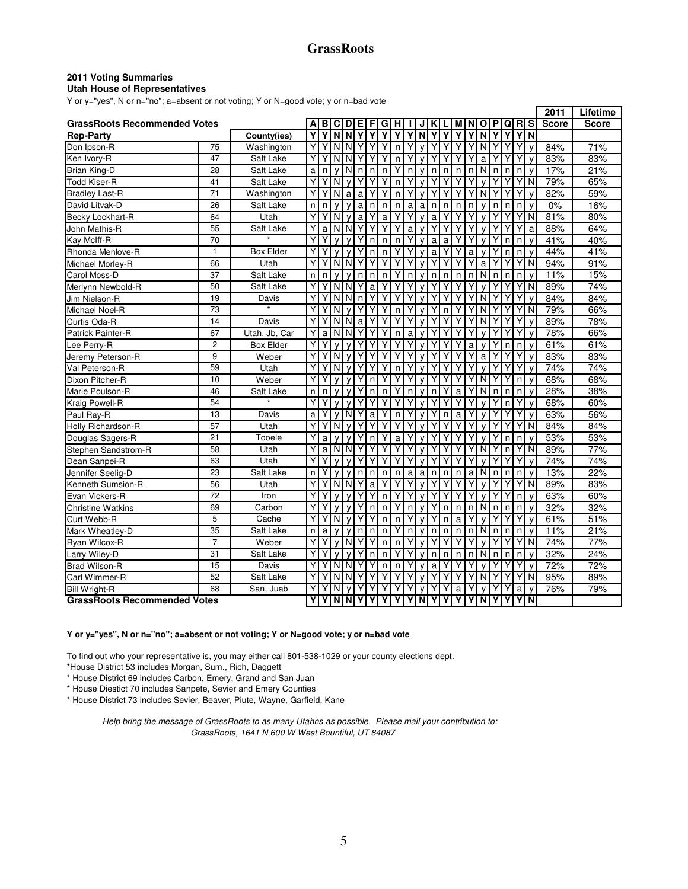#### **2011 Voting Summaries**

#### **Utah House of Representatives**

Y or y="yes", N or n="no"; a=absent or not voting; Y or N=good vote; y or n=bad vote

|                                     |                 |                  |   |   |              |              |              |   |   |              |   |              |   |   |   |    |              |              |   |   |                         | 2011         | Lifetime     |
|-------------------------------------|-----------------|------------------|---|---|--------------|--------------|--------------|---|---|--------------|---|--------------|---|---|---|----|--------------|--------------|---|---|-------------------------|--------------|--------------|
| <b>GrassRoots Recommended Votes</b> |                 |                  |   | в | C            | D            | Е            |   | G |              |   |              |   |   |   |    | Ο            | P            | Q | R | s                       | <b>Score</b> | <b>Score</b> |
| <b>Rep-Party</b>                    |                 | County(ies)      | Υ | Υ | N            | N            |              |   | Υ |              | γ | N            |   |   | γ |    | N            | Υ            | ٧ | Υ | $\overline{\mathsf{N}}$ |              |              |
| Don Ipson-R                         | 75              | Washington       | Y | Υ | N            | N            |              |   | Υ | n            | Υ | $\mathsf{v}$ | Υ | Y | Y | Y  | N            |              |   | Y | $\mathsf{v}$            | 84%          | 71%          |
| Ken Ivory-R                         | 47              | Salt Lake        | Y | Υ | N            | N            |              | Y | Y | $\mathsf{n}$ | Y |              | Υ |   |   |    | a            |              |   | Y | V                       | 83%          | 83%          |
| Brian King-D                        | 28              | Salt Lake        | a | n | $\mathsf{v}$ | N            | n            | n | n | Υ            | n | v            | n | n | n | n  | N            | n            | n | n | $\mathsf{v}$            | 17%          | 21%          |
| <b>Todd Kiser-R</b>                 | 41              | Salt Lake        | Y |   | N            |              |              |   | Υ | n            | Υ |              | Υ |   |   |    |              |              |   |   | N                       | 79%          | 65%          |
| <b>Bradley Last-R</b>               | $\overline{71}$ | Washington       | Y | Y | N            | a            | a            | Y | Υ | n            | Y | ν            | Υ | Υ | Υ | Υ  | N            | Υ            | Y | Y | $\mathsf{v}$            | 82%          | 59%          |
| David Litvak-D                      | 26              | Salt Lake        | n | n | $\mathsf{v}$ |              | a            | n | n | n            | a | a            | n | n | n | n  | ν            | n            | n | n | $\mathsf{v}$            | 0%           | 16%          |
| Becky Lockhart-R                    | 64              | Utah             | Y |   | N            | v            | a            |   | a |              | Y | $\mathbf{v}$ | a |   |   |    | ν            |              |   |   | N                       | 81%          | 80%          |
| John Mathis-R                       | 55              | Salt Lake        | Y | a | N            | N            | Υ            | Y | Υ | Υ            | a |              | Υ | Y |   | Y  | V            |              |   |   | a                       | 88%          | 64%          |
| Kay McIff-R                         | $\overline{70}$ | $\bullet$        | Υ |   | $\mathsf{v}$ |              |              | n | n | n            | Υ |              | a | a |   | Υ  | V            |              | n | n | $\mathsf{v}$            | 41%          | 40%          |
| Rhonda Menlove-R                    | $\mathbf{1}$    | <b>Box Elder</b> | Y | Υ | $\mathbf{v}$ | $\mathbf{v}$ |              | n | n |              | Υ |              | a |   |   | a  | $\mathsf{v}$ |              | n | n | $\mathsf{v}$            | 44%          | 41%          |
| Michael Morley-R                    | 66              | Utah             | Υ |   | N            | N            |              | ٧ | Υ |              | Υ |              | Υ |   |   | Υ  | a            |              |   | Y | N                       | 94%          | 91%          |
| Carol Moss-D                        | 37              | Salt Lake        | n | n | v            | $\mathsf{v}$ | n            | n | n | Υ            | n | v            | n | n | n | n  | N            | n            | n | n | V                       | 11%          | 15%          |
| Merlynn Newbold-R                   | 50              | Salt Lake        | Υ |   | N            | N            |              | a |   |              |   |              | Y |   |   |    |              |              |   |   | N                       | 89%          | 74%          |
| Jim Nielson-R                       | 19              | Davis            | Y |   | N            | N            | $\mathsf{n}$ |   |   |              | Y |              |   |   |   | Υ  | N            |              |   |   | $\mathsf{v}$            | 84%          | 84%          |
| Michael Noel-R                      | 73              |                  | Y | Υ | N            |              |              |   | Υ | n            | Υ |              | Υ | n | Υ |    | N            |              | ٧ |   | N                       | 79%          | 66%          |
| Curtis Oda-R                        | 14              | Davis            | Y |   | N            | N            | a            |   | Υ | Υ            | Y |              | Υ |   |   | Y  | N            |              |   |   | $\mathsf{v}$            | 89%          | 78%          |
| Patrick Painter-R                   | 67              | Utah, Jb, Car    | Y | a | N            | N            |              |   | Υ | n            | a |              |   |   |   | Y  |              |              | γ |   | V                       | 78%          | 66%          |
| Lee Perry-R                         | $\overline{2}$  | <b>Box Elder</b> | Y |   | v            |              |              |   |   | Υ            | Y |              | Υ |   |   | a  | v            |              | n | n | $\mathsf{v}$            | 61%          | 61%          |
| Jeremy Peterson-R                   | 9               | Weber            | Y | Y | N            | $\mathsf{v}$ | Y            | Y | Υ | Y            | Y |              | Υ | Υ |   | Y  | a            |              |   | Y | $\mathsf{v}$            | 83%          | 83%          |
| Val Peterson-R                      | 59              | Utah             | Y |   | N            | v            |              |   | Υ | n            | Y |              | Υ | Y | Y | Y  | v            |              |   | Y | $\mathsf{v}$            | 74%          | 74%          |
| Dixon Pitcher-R                     | 10              | Weber            | Y | Υ | v            |              |              | n | Υ | Υ            | Y |              | Υ |   | Y | Y  | N            |              |   | n | $\mathsf{V}$            | 68%          | 68%          |
| Marie Poulson-R                     | 46              | Salt Lake        | n | n | V            | v            |              | n | n | Υ            | n | v            | n | Y | a | Υ  | N            | n            | n | n | $\mathsf{v}$            | 28%          | 38%          |
| Kraig Powell-R                      | 54              |                  | Y | Y | v            |              |              | Y | Υ | Υ            | Υ |              | Υ | Υ | Υ |    | V            | Υ            | n | Y | $\mathsf{V}$            | 68%          | 60%          |
| Paul Ray-R                          | 13              | Davis            | a | Y | v            | N            |              | a | Υ | n            | Υ |              | Υ | n | a | Y  | ٧            |              |   | Y | $\mathsf{v}$            | 63%          | 56%          |
| Holly Richardson-R                  | 57              | Utah             | Y | Υ | N            |              |              |   | Υ | Υ            | Υ |              | Υ |   |   |    |              |              |   | Y | N                       | 84%          | 84%          |
| Douglas Sagers-R                    | 21              | Tooele           | Υ | a | v            |              |              | n | Υ | a            | Υ | $\mathbf{v}$ | Υ |   |   |    | v            |              | n | n | $\mathsf{V}$            | 53%          | 53%          |
| Stephen Sandstrom-R                 | 58              | Utah             | Y | a | N            | N            |              | Y | Y | Υ            |   |              | Υ |   |   | Y  | N            |              | n | Y | N                       | 89%          | 77%          |
| Dean Sanpei-R                       | 63              | Utah             | Y |   | v            | v            |              |   |   | Υ            |   |              | Υ |   |   |    | ν            |              |   |   | $\mathsf{v}$            | 74%          | 74%          |
| Jennifer Seelig-D                   | 23              | Salt Lake        | n | Υ | v            | $\mathsf{v}$ | n            | n | n | n            | a | a            | n | n | n | a  | N            | n            | n | n | $\mathsf{v}$            | 13%          | 22%          |
| Kenneth Sumsion-R                   | 56              | Utah             | Y |   | N            | N            |              | a |   |              |   |              | Υ |   |   |    |              |              |   | Y | N                       | 89%          | 83%          |
| Evan Vickers-R                      | 72              | Iron             | Y |   | $\mathsf{v}$ |              |              | Υ | n | Υ            | Y |              | Υ | Υ |   |    | V            |              |   | n | $\mathsf{v}$            | 63%          | 60%          |
| <b>Christine Watkins</b>            | 69              | Carbon           | Υ |   | v            |              |              | n | n | Υ            | n |              | Υ | n | n | n  | N            | n            | n | n | v                       | 32%          | 32%          |
| Curt Webb-R                         | 5               | Cache            | Y | Y | N            | $\mathsf{v}$ | Y            |   | n | n            | Y | $\mathbf{v}$ | Y | n | a |    |              |              |   |   | $\mathsf{v}$            | 61%          | 51%          |
| Mark Wheatley-D                     | 35              | Salt Lake        | n | a | v            |              | n            | n | n |              | n | v            | n | n | n | n  | N            | $\mathsf{n}$ | n | n | $\mathsf{V}$            | 11%          | 21%          |
| Ryan Wilcox-R                       | $\overline{7}$  | Weber            | Y | Y | v            | N            |              |   | n | n            | Υ |              | Υ |   |   |    |              |              |   |   | N                       | 74%          | 77%          |
| Larry Wiley-D                       | 31              | Salt Lake        | Y | Υ | v            |              |              | n | n | Υ            | Υ |              | n | n | n | n. | N            | $\mathsf{n}$ | n | n | $\mathsf{V}$            | 32%          | 24%          |
| <b>Brad Wilson-R</b>                | 15              | Davis            | Y | Υ | N            | N            |              |   | n | n            | Y | $\mathsf{v}$ | a | Y |   |    | $\mathsf{v}$ |              |   |   | $\mathsf{v}$            | 72%          | 72%          |
| Carl Wimmer-R                       | 52              | Salt Lake        | Y |   | N            | N            |              |   | Υ | Υ            | Υ |              | Υ |   | Υ | Y  | N            |              |   |   | N                       | 95%          | 89%          |
| <b>Bill Wright-R</b>                | 68              | San, Juab        | Y |   | N            | v            |              |   |   | Υ            | Y |              | Y | Y | a | Y  | ٧            |              |   | a | V                       | 76%          | 79%          |
| <b>GrassRoots Recommended Votes</b> |                 |                  | Y | Υ | N            | <b>NY</b>    |              | Υ | Υ | Υ            | Y | I N          | Υ | Υ | Υ | Υ  | N            | Υ            | Υ | Υ | N                       |              |              |

#### **Y or y="yes", N or n="no"; a=absent or not voting; Y or N=good vote; y or n=bad vote**

To find out who your representative is, you may either call 801-538-1029 or your county elections dept. \*House District 53 includes Morgan, Sum., Rich, Daggett

\* House District 69 includes Carbon, Emery, Grand and San Juan

\* House Diestict 70 includes Sanpete, Sevier and Emery Counties

\* House District 73 includes Sevier, Beaver, Piute, Wayne, Garfield, Kane

 Help bring the message of GrassRoots to as many Utahns as possible. Please mail your contribution to: GrassRoots, 1641 N 600 W West Bountiful, UT 84087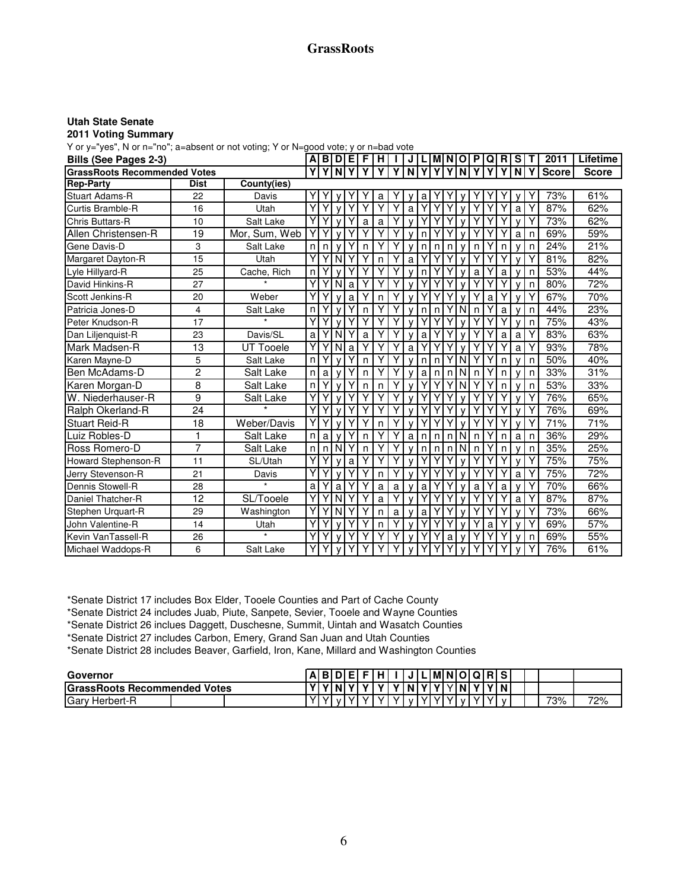## **GrassRoots**

#### **Utah State Senate**

#### **2011 Voting Summary**

| Bills (See Pages 2-3)               |             |               | Αl |   | <b>BID</b>       | E | F. | н            |   | J            |   | LIMINIO |   |              | P            |   | QI R | l S          | т | 2011         | Lifetime     |
|-------------------------------------|-------------|---------------|----|---|------------------|---|----|--------------|---|--------------|---|---------|---|--------------|--------------|---|------|--------------|---|--------------|--------------|
| <b>GrassRoots Recommended Votes</b> |             |               | Y  |   | $\overline{Y}$ N |   |    |              |   | N            | v | Υ       | Y | N            |              |   |      | N            | Υ | <b>Score</b> | <b>Score</b> |
| <b>Rep-Party</b>                    | <b>Dist</b> | County(ies)   |    |   |                  |   |    |              |   |              |   |         |   |              |              |   |      |              |   |              |              |
| <b>Stuart Adams-R</b>               | 22          | Davis         |    |   |                  |   |    | a            |   |              | а |         |   |              |              |   |      |              |   | 73%          | 61%          |
| Curtis Bramble-R                    | 16          | Utah          | Y  | Y |                  | Υ | Υ  | Υ            | Y | a            |   |         |   | $\mathbf{v}$ |              |   |      | a            | Υ | 87%          | 62%          |
| <b>Chris Buttars-R</b>              | 10          | Salt Lake     | Y  |   |                  |   | a  | a            |   | $\mathsf{v}$ |   |         |   | $\mathsf{v}$ |              |   |      | $\mathsf{v}$ | Υ | 73%          | 62%          |
| Allen Christensen-R                 | 19          | Mor, Sum, Web | Y  |   |                  |   |    | Υ            | Υ |              | n | Υ       |   | $\mathbf{v}$ |              |   |      | a            | n | 69%          | 59%          |
| Gene Davis-D                        | 3           | Salt Lake     | n  | n |                  | Υ | n  | Υ            | Υ |              | n | n       | n | $\mathsf{V}$ | n            |   | n    |              | n | 24%          | 21%          |
| Margaret Dayton-R                   | 15          | Utah          | Y  |   | N                |   |    | n            | Υ | a            |   |         |   | $\mathsf{v}$ |              |   |      |              | Υ | 81%          | 82%          |
| Lyle Hillyard-R                     | 25          | Cache, Rich   | n  |   |                  |   |    | Υ            | Y |              | n |         |   |              | a            |   | a    |              | n | 53%          | 44%          |
| David Hinkins-R                     | 27          |               | Y  | Y | <b>N</b>         | a | Υ  | Υ            | Υ |              |   |         |   | $\mathbf{v}$ | Υ            |   |      |              | n | 80%          | 72%          |
| Scott Jenkins-R                     | 20          | Weber         | Y  |   |                  | a | Υ  | $\mathsf{n}$ | Y | $\mathsf{v}$ |   |         |   | $\mathsf{v}$ |              | a |      |              | Υ | 67%          | 70%          |
| Patricia Jones-D                    | 4           | Salt Lake     | n  |   |                  |   | n  | Υ            |   |              | n | n       |   | N            | n            |   | a    |              | n | 44%          | 23%          |
| Peter Knudson-R                     | 17          |               | Y  |   |                  | Y | Υ  | Υ            | Υ |              |   |         |   | $\mathbf{v}$ |              |   |      |              | n | 75%          | 43%          |
| Dan Liljenquist-R                   | 23          | Davis/SL      | a  |   | N                |   | a  | Υ            |   | $\mathsf{v}$ | a |         |   | $\mathsf{v}$ |              |   | a    | a            |   | 83%          | 63%          |
| Mark Madsen-R                       | 13          | UT Tooele     | Y  |   | N                | a |    | Υ            |   | a            |   |         |   |              |              |   |      | a            |   | 93%          | 78%          |
| Karen Mayne-D                       | 5           | Salt Lake     | n  |   |                  |   | n  | Υ            | Υ | $\mathsf{V}$ | n | n       |   | N            |              |   | n    |              | n | 50%          | 40%          |
| lBen McAdams-D                      | 2           | Salt Lake     | n  | a |                  | Y | n  | Υ            |   |              | a | n       | n | N            | $\mathsf{n}$ |   | n    |              | n | 33%          | 31%          |
| Karen Morgan-D                      | 8           | Salt Lake     | n  |   |                  |   | n  | n            |   |              |   |         |   | N            |              |   | n    |              | n | 53%          | 33%          |
| W. Niederhauser-R                   | 9           | Salt Lake     | Y  |   |                  | Υ | Υ  | Υ            | Υ | $\mathsf{V}$ |   |         |   | $\mathsf{v}$ |              |   |      |              | Υ | 76%          | 65%          |
| Ralph Okerland-R                    | 24          |               | Y  |   |                  | Υ |    | Υ            |   | $\mathsf{v}$ |   |         |   | $\mathsf{V}$ |              |   |      |              | Υ | 76%          | 69%          |
| <b>Stuart Reid-R</b>                | 18          | Weber/Davis   | Y  |   |                  |   |    | n            |   | $\mathbf{v}$ |   |         |   | $\mathbf{v}$ |              |   |      |              |   | 71%          | 71%          |
| Luiz Robles-D                       | 1           | Salt Lake     | n  | a |                  | Υ | n  | Y            | Y | a            | n | n       | n | N            | n            |   | n    | a            | n | 36%          | 29%          |
| Ross Romero-D                       | 7           | Salt Lake     | n  | n | I N              | Υ | n  | Υ            | Υ | $\mathsf{v}$ | n | n       | n | N            | n            |   | n    |              | n | 35%          | 25%          |
| Howard Stephenson-R                 | 11          | SL/Utah       | Y  |   |                  | a |    | Υ            |   |              |   |         |   | $\mathsf{V}$ |              |   |      |              | Υ | 75%          | 75%          |
| Jerry Stevenson-R                   | 21          | Davis         | Y  |   |                  |   | Υ  | $\mathsf{n}$ | Y | $\mathsf{V}$ |   |         |   | $\mathsf{V}$ |              | Y |      | a            | Υ | 75%          | 72%          |
| Dennis Stowell-R                    | 28          | $\star$       | a  |   | a                |   |    | a            | a |              | a |         |   | v            | a            |   | a    |              | Υ | 70%          | 66%          |
| Daniel Thatcher-R                   | 12          | SL/Tooele     | Y  |   | N                |   |    | a            |   |              |   |         |   |              |              |   |      | a            |   | 87%          | 87%          |
| Stephen Urquart-R                   | 29          | Washington    | Y  |   | N                |   |    | n            | a | $\mathsf{v}$ | a |         |   | v            |              |   |      |              |   | 73%          | 66%          |
| John Valentine-R                    | 14          | Utah          | Y  |   |                  | Υ |    | n            | Υ |              |   | Υ       |   | $\mathsf{v}$ |              | a |      |              | Υ | 69%          | 57%          |
| Kevin VanTassell-R                  | 26          | $\star$       | Y  |   |                  |   |    | Υ            |   | $\mathbf{v}$ |   |         | a | $\mathbf{v}$ |              |   |      |              | n | 69%          | 55%          |
| Michael Waddops-R                   | 6           | Salt Lake     | Y  |   |                  |   |    |              |   |              |   |         |   |              |              |   |      |              |   | 76%          | 61%          |

\*Senate District 17 includes Box Elder, Tooele Counties and Part of Cache County

\*Senate District 24 includes Juab, Piute, Sanpete, Sevier, Tooele and Wayne Counties

\*Senate District 26 inclues Daggett, Duschesne, Summit, Uintah and Wasatch Counties

\*Senate District 27 includes Carbon, Emery, Grand San Juan and Utah Counties

\*Senate District 28 includes Beaver, Garfield, Iron, Kane, Millard and Washington Counties

| Governor                            |  |      |         | A B D E  F H  I   J L M N O Q R  S |  |  |  |                                   |  |  |     |     |
|-------------------------------------|--|------|---------|------------------------------------|--|--|--|-----------------------------------|--|--|-----|-----|
| <b>GrassRoots Recommended Votes</b> |  |      |         |                                    |  |  |  |                                   |  |  |     |     |
| <b>Gary Herbert-R</b>               |  | YIvI | IVI V I |                                    |  |  |  | Y   Y   v   Y   Y   Y   v   Y   Y |  |  | 73% | 72% |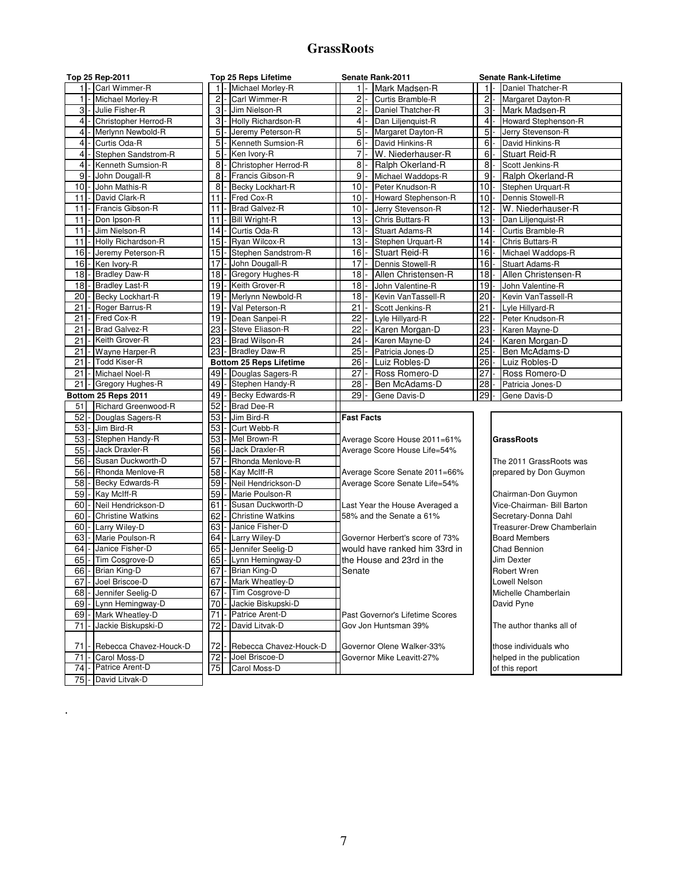## **GrassRoots**

| Top 25 Rep-2011                               | Top 25 Reps Lifetime              | Senate Rank-2011                | <b>Senate Rank-Lifetime</b> |
|-----------------------------------------------|-----------------------------------|---------------------------------|-----------------------------|
| 1 - Carl Wimmer-R                             | $\mathbf{1}$                      | $1$ -                           | 11                          |
|                                               | Michael Morley-R                  | Mark Madsen-R                   | Daniel Thatcher-R           |
| 1 - Michael Morley-R                          | $\overline{c}$                    | $2$ -                           | $2 \vert$                   |
|                                               | Carl Wimmer-R                     | Curtis Bramble-R                | Margaret Dayton-R           |
| 3 - Julie Fisher-R                            | 3                                 | $2$ -                           | $3$ -                       |
|                                               | - Jim Nielson-R                   | Daniel Thatcher-R               | Mark Madsen-R               |
| $\overline{4}$                                | 3                                 | $4 -$                           | $4$ -                       |
| Christopher Herrod-R                          | Holly Richardson-R                | Dan Liljenquist-R               | Howard Stephenson-R         |
| 4                                             | 5                                 | 5 <sub>l</sub>                  | 5 <sub>l</sub>              |
| Merlynn Newbold-R                             | Jeremy Peterson-R                 | Margaret Dayton-R               | Jerry Stevenson-R           |
| $\overline{4}$                                | 5                                 | David Hinkins-R                 | $6 \overline{6}$            |
| - Curtis Oda-R                                | Kenneth Sumsion-R                 | $6 -$                           | David Hinkins-R             |
| $\overline{4}$                                | 5                                 | $\overline{7}$                  | 6                           |
| - Stephen Sandstrom-R                         | - Ken Ivory-R                     | W. Niederhauser-R               | Stuart Reid-R               |
| - Kenneth Sumsion-R                           | 8                                 | $8 -$                           | 8                           |
| $\overline{4}$                                | Christopher Herrod-R              | Ralph Okerland-R                | Scott Jenkins-R             |
| 9                                             | 8                                 | 9                               | 9                           |
| John Dougall-R                                | Francis Gibson-R                  | Michael Waddops-R               | Ralph Okerland-R            |
| 10                                            | 8                                 | $10 -$                          | 10 <sub>l</sub>             |
| - John Mathis-R                               | Becky Lockhart-R                  | Peter Knudson-R                 | Stephen Urquart-R           |
| David Clark-R                                 | Fred Cox-R                        | 10                              | 10 <sup>1</sup>             |
| 11                                            | 11                                | Howard Stephenson-R             | Dennis Stowell-R            |
| Francis Gibson-R                              | Brad Galvez-R                     | 10                              | 12                          |
| 11                                            | 11                                | Jerry Stevenson-R               | W. Niederhauser-R           |
| Don Ipson-R                                   | 11                                | 13                              | 13                          |
| 11                                            | <b>Bill Wright-R</b>              | Chris Buttars-R                 | Dan Liljenguist-R           |
| 11                                            | 14                                | 13                              | 14                          |
| Jim Nielson-R                                 | Curtis Oda-R                      | <b>Stuart Adams-R</b>           | Curtis Bramble-R            |
| Holly Richardson-R                            | 15                                | 13                              | 14                          |
| 11                                            | Ryan Wilcox-R                     | Stephen Urquart-R               | Chris Buttars-R             |
| 16                                            | 15                                | 16                              | 16                          |
| Jeremy Peterson-R                             | Stephen Sandstrom-R               | <b>Stuart Reid-R</b>            | Michael Waddops-R           |
| 16                                            | 17                                | 17                              | 16                          |
| Ken Ivory-R                                   | John Dougall-R                    | Dennis Stowell-R                | <b>Stuart Adams-R</b>       |
| 18                                            | 18                                | $18$ -                          | 18                          |
| - Bradley Daw-R                               | Gregory Hughes-R                  | Allen Christensen-R             | Allen Christensen-R         |
| <b>Bradley Last-R</b>                         | 19                                | 18                              | $19-$                       |
| 18                                            | Keith Grover-R                    | John Valentine-R                | John Valentine-R            |
| 20                                            | 19                                | 18                              | 20                          |
| Becky Lockhart-R                              | Merlynn Newbold-R                 | Kevin VanTassell-R              | Kevin VanTassell-R          |
| 21                                            | 19                                | 21                              | 21                          |
| Roger Barrus-R                                | Val Peterson-R                    | Scott Jenkins-R                 | Lyle Hillyard-R             |
| 21                                            | 19                                | 22                              | 22                          |
| Fred Cox-R                                    | Dean Sanpei-R                     | Lyle Hillyard-R                 | Peter Knudson-R             |
| 21                                            | 23                                | 22                              | 23                          |
| <b>Brad Galvez-R</b>                          | Steve Eliason-R                   | Karen Morgan-D                  | Karen Mayne-D               |
| Keith Grover-R                                | 23                                | 24                              | 24                          |
| 21                                            | <b>Brad Wilson-R</b>              | Karen Mayne-D                   | Karen Morgan-D              |
| 21                                            | 23                                | 25                              | 25                          |
| Wayne Harper-R                                | - Bradley Daw-R                   | Patricia Jones-D                | Ben McAdams-D               |
| - Todd Kiser-R                                | <b>Bottom 25 Reps Lifetime</b>    | 26                              | $26 -$                      |
| 21                                            |                                   | Luiz Robles-D                   | Luiz Robles-D               |
| - Michael Noel-R                              | 49                                | 27                              | 27                          |
| 21                                            | - Douglas Sagers-R                | Ross Romero-D                   | Ross Romero-D               |
| Gregory Hughes-R                              | 49                                | 28                              | 28                          |
| 21                                            | Stephen Handy-R                   | Ben McAdams-D                   | Patricia Jones-D            |
|                                               |                                   |                                 |                             |
|                                               |                                   |                                 |                             |
| Bottom 25 Reps 2011                           | 49                                | 29                              | 29                          |
|                                               | Becky Edwards-R                   | Gene Davis-D                    | Gene Davis-D                |
| Richard Greenwood-R<br>51                     | 52<br><b>Brad Dee-R</b>           |                                 |                             |
| 52<br>Douglas Sagers-R                        | 53<br>Jim Bird-R                  | <b>Fast Facts</b>               |                             |
| 53<br>Jim Bird-R                              | 53<br>Curt Webb-R                 |                                 |                             |
| Stephen Handy-R<br>53                         | 53<br>Mel Brown-R                 | Average Score House 2011=61%    | <b>GrassRoots</b>           |
| 55<br>- Jack Draxler-R                        | 56<br>Jack Draxler-R              | Average Score House Life=54%    |                             |
| Susan Duckworth-D<br>56                       | 57<br>Rhonda Menlove-R            |                                 | The 2011 GrassRoots was     |
| 56<br>Rhonda Menlove-R                        | 58<br>Kay McIff-R                 | Average Score Senate 2011=66%   | prepared by Don Guymon      |
| 58<br>- Becky Edwards-R                       | 59<br>Neil Hendrickson-D          | Average Score Senate Life=54%   |                             |
| 59<br>- Kay McIff-R                           | 59<br>Marie Poulson-R             |                                 | Chairman-Don Guymon         |
| Neil Hendrickson-D<br>60                      | 61<br>Susan Duckworth-D           | Last Year the House Averaged a  | Vice-Chairman- Bill Barton  |
| 60<br><b>Christine Watkins</b>                | 62<br><b>Christine Watkins</b>    | 58% and the Senate a 61%        | Secretary-Donna Dahl        |
| 60<br>Larry Wiley-D                           | Janice Fisher-D<br>63             |                                 | Treasurer-Drew Chamberlain  |
| 63<br>Marie Poulson-R                         | 64<br>Larry Wiley-D               | Governor Herbert's score of 73% | <b>Board Members</b>        |
| Janice Fisher-D<br>64                         | 65<br>Jennifer Seelig-D           | would have ranked him 33rd in   | Chad Bennion                |
| Tim Cosgrove-D<br>65                          | 65<br>Lynn Hemingway-D            | the House and 23rd in the       | Jim Dexter                  |
| 66 - Brian King-D                             | - Brian King-D<br>67              | Senate                          | <b>Robert Wren</b>          |
| 67 - Joel Briscoe-D                           | - Mark Wheatley-D<br>67           |                                 | Lowell Nelson               |
| Jennifer Seelig-D<br>68                       | 67<br>Tim Cosgrove-D              |                                 | Michelle Chamberlain        |
| 69<br>Lynn Hemingway-D                        | 70<br>Jackie Biskupski-D          |                                 | David Pyne                  |
| 69<br>Mark Wheatley-D                         | 71<br>Patrice Arent-D             | Past Governor's Lifetime Scores |                             |
| 71<br>Jackie Biskupski-D                      | 72<br>David Litvak-D              | Gov Jon Huntsman 39%            | The author thanks all of    |
|                                               |                                   |                                 |                             |
| Rebecca Chavez-Houck-D<br>71                  | 72<br>Rebecca Chavez-Houck-D      | Governor Olene Walker-33%       | those individuals who       |
| Carol Moss-D<br>71                            | $\overline{72}$<br>Joel Briscoe-D | Governor Mike Leavitt-27%       | helped in the publication   |
| Patrice Arent-D<br>74<br>David Litvak-D<br>75 | 75<br>Carol Moss-D                |                                 | of this report              |

.